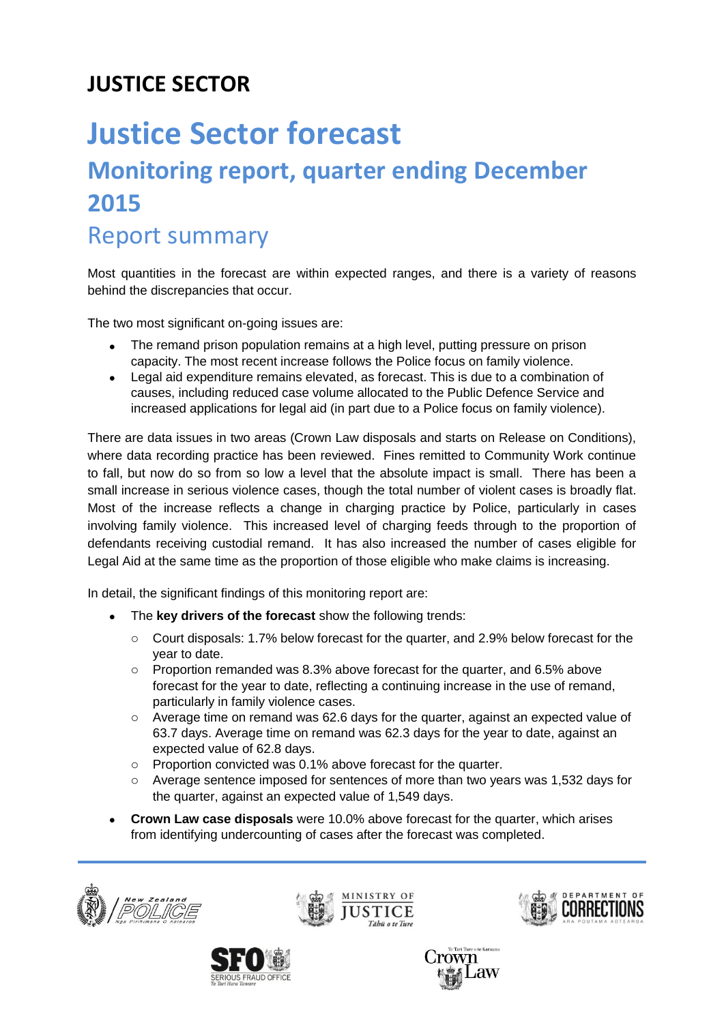## **JUSTICE SECTOR**

## **Justice Sector forecast Monitoring report, quarter ending December 2015** Report summary

Most quantities in the forecast are within expected ranges, and there is a variety of reasons behind the discrepancies that occur.

The two most significant on-going issues are:

- The remand prison population remains at a high level, putting pressure on prison capacity. The most recent increase follows the Police focus on family violence.
- Legal aid expenditure remains elevated, as forecast. This is due to a combination of causes, including reduced case volume allocated to the Public Defence Service and increased applications for legal aid (in part due to a Police focus on family violence).

There are data issues in two areas (Crown Law disposals and starts on Release on Conditions), where data recording practice has been reviewed. Fines remitted to Community Work continue to fall, but now do so from so low a level that the absolute impact is small. There has been a small increase in serious violence cases, though the total number of violent cases is broadly flat. Most of the increase reflects a change in charging practice by Police, particularly in cases involving family violence. This increased level of charging feeds through to the proportion of defendants receiving custodial remand. It has also increased the number of cases eligible for Legal Aid at the same time as the proportion of those eligible who make claims is increasing.

In detail, the significant findings of this monitoring report are:

- The **key drivers of the forecast** show the following trends:
	- o Court disposals: 1.7% below forecast for the quarter, and 2.9% below forecast for the year to date.
	- o Proportion remanded was 8.3% above forecast for the quarter, and 6.5% above forecast for the year to date, reflecting a continuing increase in the use of remand, particularly in family violence cases.
	- o Average time on remand was 62.6 days for the quarter, against an expected value of 63.7 days. Average time on remand was 62.3 days for the year to date, against an expected value of 62.8 days.
	- o Proportion convicted was 0.1% above forecast for the quarter.
	- o Average sentence imposed for sentences of more than two years was 1,532 days for the quarter, against an expected value of 1,549 days.
- **Crown Law case disposals** were 10.0% above forecast for the quarter, which arises from identifying undercounting of cases after the forecast was completed.